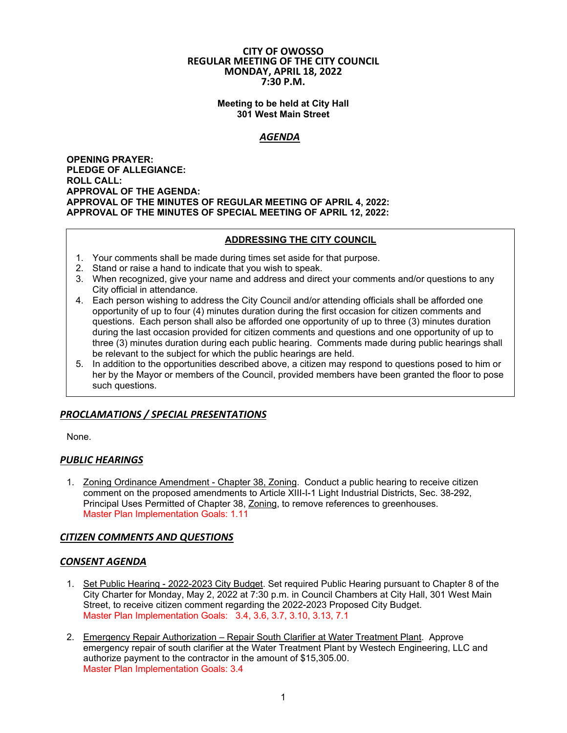#### **CITY OF OWOSSO REGULAR MEETING OF THE CITY COUNCIL MONDAY, APRIL 18, 2022 7:30 P.M.**

#### **Meeting to be held at City Hall 301 West Main Street**

## *AGENDA*

**OPENING PRAYER: PLEDGE OF ALLEGIANCE: ROLL CALL: APPROVAL OF THE AGENDA: APPROVAL OF THE MINUTES OF REGULAR MEETING OF APRIL 4, 2022: APPROVAL OF THE MINUTES OF SPECIAL MEETING OF APRIL 12, 2022:** 

## **ADDRESSING THE CITY COUNCIL**

- 1. Your comments shall be made during times set aside for that purpose.
- 2. Stand or raise a hand to indicate that you wish to speak.
- 3. When recognized, give your name and address and direct your comments and/or questions to any City official in attendance.
- 4. Each person wishing to address the City Council and/or attending officials shall be afforded one opportunity of up to four (4) minutes duration during the first occasion for citizen comments and questions. Each person shall also be afforded one opportunity of up to three (3) minutes duration during the last occasion provided for citizen comments and questions and one opportunity of up to three (3) minutes duration during each public hearing. Comments made during public hearings shall be relevant to the subject for which the public hearings are held.
- 5. In addition to the opportunities described above, a citizen may respond to questions posed to him or her by the Mayor or members of the Council, provided members have been granted the floor to pose such questions.

# *PROCLAMATIONS / SPECIAL PRESENTATIONS*

None.

## *PUBLIC HEARINGS*

1. Zoning Ordinance Amendment - Chapter 38, Zoning. Conduct a public hearing to receive citizen comment on the proposed amendments to Article XIII-I-1 Light Industrial Districts, Sec. 38-292, Principal Uses Permitted of Chapter 38, Zoning, to remove references to greenhouses. Master Plan Implementation Goals: 1.11

## *CITIZEN COMMENTS AND QUESTIONS*

## *CONSENT AGENDA*

- 1. Set Public Hearing 2022-2023 City Budget. Set required Public Hearing pursuant to Chapter 8 of the City Charter for Monday, May 2, 2022 at 7:30 p.m. in Council Chambers at City Hall, 301 West Main Street, to receive citizen comment regarding the 2022-2023 Proposed City Budget. Master Plan Implementation Goals: 3.4, 3.6, 3.7, 3.10, 3.13, 7.1
- 2. Emergency Repair Authorization Repair South Clarifier at Water Treatment Plant. Approve emergency repair of south clarifier at the Water Treatment Plant by Westech Engineering, LLC and authorize payment to the contractor in the amount of \$15,305.00. Master Plan Implementation Goals: 3.4